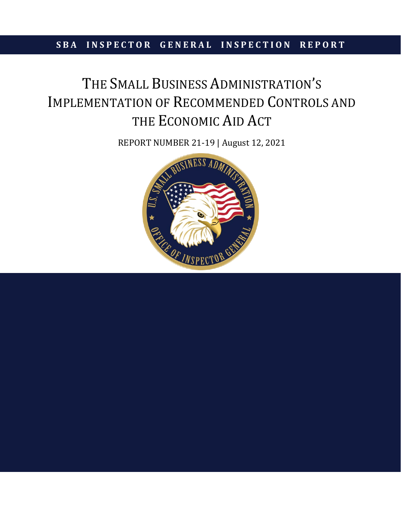## **SBA INSPECTOR GENERAL INSPECTION REPORT**

# THE SMALL BUSINESS ADMINISTRATION'S IMPLEMENTATION OF RECOMMENDED CONTROLS AND THE ECONOMIC AID ACT

REPORT NUMBER 21-19 | August 12, 2021

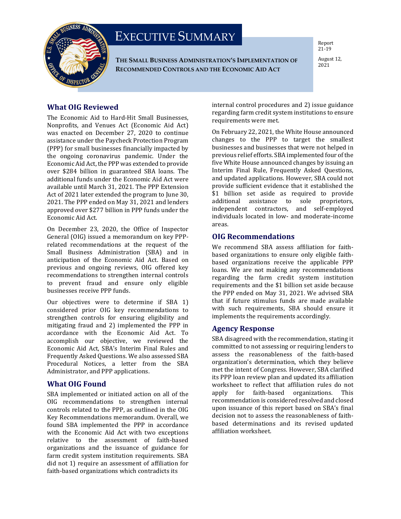

# EXECUTIVE SUMMARY

**THE SMALL BUSINESS ADMINISTRATION'S IMPLEMENTATION OF RECOMMENDED CONTROLS AND THE ECONOMIC AID ACT**

Report 21-19

August 12, 2021

#### **What OIG Reviewed**

The Economic Aid to Hard-Hit Small Businesses, Nonprofits, and Venues Act (Economic Aid Act) was enacted on December 27, 2020 to continue assistance under the Paycheck Protection Program (PPP) for small businesses financially impacted by the ongoing coronavirus pandemic. Under the Economic Aid Act, the PPP was extended to provide over \$284 billion in guaranteed SBA loans. The additional funds under the Economic Aid Act were available until March 31, 2021. The PPP Extension Act of 2021 later extended the program to June 30, 2021. The PPP ended on May 31, 2021 and lenders approved over \$277 billion in PPP funds under the Economic Aid Act.

On December 23, 2020, the Office of Inspector General (OIG) issued a memorandum on key PPPrelated recommendations at the request of the Small Business Administration (SBA) and in anticipation of the Economic Aid Act. Based on previous and ongoing reviews, OIG offered key recommendations to strengthen internal controls to prevent fraud and ensure only eligible businesses receive PPP funds.

Our objectives were to determine if SBA 1) considered prior OIG key recommendations to strengthen controls for ensuring eligibility and mitigating fraud and 2) implemented the PPP in accordance with the Economic Aid Act. To accomplish our objective, we reviewed the Economic Aid Act, SBA's Interim Final Rules and Frequently Asked Questions. We also assessed SBA Procedural Notices, a letter from the SBA Administrator, and PPP applications.

#### **What OIG Found**

SBA implemented or initiated action on all of the OIG recommendations to strengthen internal controls related to the PPP, as outlined in the OIG Key Recommendations memorandum. Overall, we found SBA implemented the PPP in accordance with the Economic Aid Act with two exceptions relative to the assessment of faith-based organizations and the issuance of guidance for farm credit system institution requirements. SBA did not 1) require an assessment of affiliation for faith-based organizations which contradicts its

internal control procedures and 2) issue guidance regarding farm credit system institutions to ensure requirements were met.

On February 22, 2021, the White House announced changes to the PPP to target the smallest businesses and businesses that were not helped in previous relief efforts. SBA implemented four of the five White House announced changes by issuing an Interim Final Rule, Frequently Asked Questions, and updated applications. However, SBA could not provide sufficient evidence that it established the \$1 billion set aside as required to provide additional assistance to sole proprietors, independent contractors, and self-employed individuals located in low- and moderate-income areas.

#### **OIG Recommendations**

We recommend SBA assess affiliation for faithbased organizations to ensure only eligible faithbased organizations receive the applicable PPP loans. We are not making any recommendations regarding the farm credit system institution requirements and the \$1 billion set aside because the PPP ended on May 31, 2021. We advised SBA that if future stimulus funds are made available with such requirements, SBA should ensure it implements the requirements accordingly.

#### **Agency Response**

SBA disagreed with the recommendation, stating it committed to not assessing or requiring lenders to assess the reasonableness of the faith-based organization's determination, which they believe met the intent of Congress. However, SBA clarified its PPP loan review plan and updated its affiliation worksheet to reflect that affiliation rules do not<br>apply for faith-based organizations. This organizations. recommendation is considered resolved and closed upon issuance of this report based on SBA's final decision not to assess the reasonableness of faithbased determinations and its revised updated affiliation worksheet.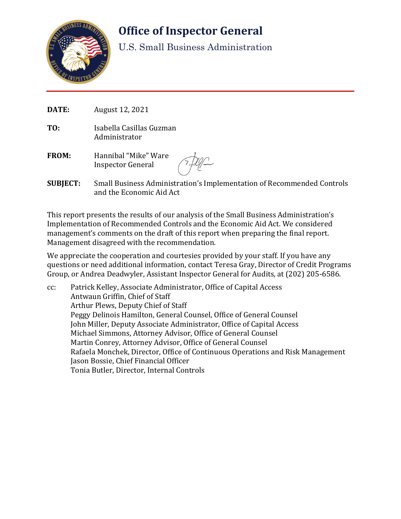

# **Office of Inspector General**

U.S. Small Business Administration

- **DATE:** August 12, 2021
- **TO:** Isabella Casillas Guzman Administrator
- **FROM:** Hannibal "Mike" Ware Inspector General

**SUBJECT:** Small Business Administration's Implementation of Recommended Controls and the Economic Aid Act

This report presents the results of our analysis of the Small Business Administration's Implementation of Recommended Controls and the Economic Aid Act. We considered management's comments on the draft of this report when preparing the final report. Management disagreed with the recommendation.

We appreciate the cooperation and courtesies provided by your staff. If you have any questions or need additional information, contact Teresa Gray, Director of Credit Programs Group, or Andrea Deadwyler, Assistant Inspector General for Audits, at (202) 205-6586.

cc: Patrick Kelley, Associate Administrator, Office of Capital Access Antwaun Griffin, Chief of Staff Arthur Plews, Deputy Chief of Staff Peggy Delinois Hamilton, General Counsel, Office of General Counsel John Miller, Deputy Associate Administrator, Office of Capital Access Michael Simmons, Attorney Advisor, Office of General Counsel Martin Conrey, Attorney Advisor, Office of General Counsel Rafaela Monchek, Director, Office of Continuous Operations and Risk Management Jason Bossie, Chief Financial Officer Tonia Butler, Director, Internal Controls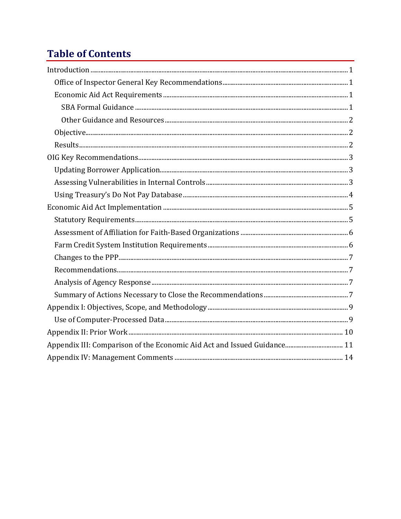# **Table of Contents**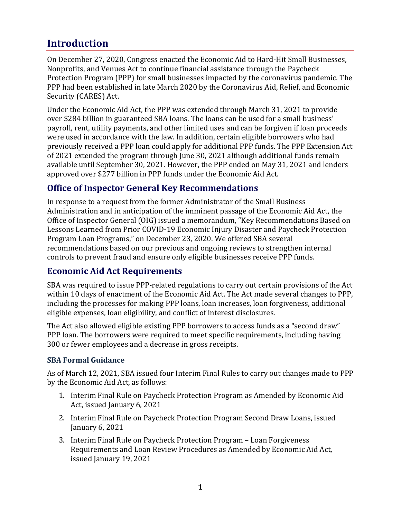## **Introduction**

On December 27, 2020, Congress enacted the Economic Aid to Hard-Hit Small Businesses, Nonprofits, and Venues Act to continue financial assistance through the Paycheck Protection Program (PPP) for small businesses impacted by the coronavirus pandemic. The PPP had been established in late March 2020 by the Coronavirus Aid, Relief, and Economic Security (CARES) Act.

Under the Economic Aid Act, the PPP was extended through March 31, 2021 to provide over \$284 billion in guaranteed SBA loans. The loans can be used for a small business' payroll, rent, utility payments, and other limited uses and can be forgiven if loan proceeds were used in accordance with the law. In addition, certain eligible borrowers who had previously received a PPP loan could apply for additional PPP funds. The PPP Extension Act of 2021 extended the program through June 30, 2021 although additional funds remain available until September 30, 2021. However, the PPP ended on May 31, 2021 and lenders approved over \$277 billion in PPP funds under the Economic Aid Act.

## **Office of Inspector General Key Recommendations**

In response to a request from the former Administrator of the Small Business Administration and in anticipation of the imminent passage of the Economic Aid Act, the Office of Inspector General (OIG) issued a memorandum, "Key Recommendations Based on Lessons Learned from Prior COVID-19 Economic Injury Disaster and Paycheck Protection Program Loan Programs," on December 23, 2020. We offered SBA several recommendations based on our previous and ongoing reviews to strengthen internal controls to prevent fraud and ensure only eligible businesses receive PPP funds.

## **Economic Aid Act Requirements**

SBA was required to issue PPP-related regulations to carry out certain provisions of the Act within 10 days of enactment of the Economic Aid Act. The Act made several changes to PPP, including the processes for making PPP loans, loan increases, loan forgiveness, additional eligible expenses, loan eligibility, and conflict of interest disclosures.

The Act also allowed eligible existing PPP borrowers to access funds as a "second draw" PPP loan. The borrowers were required to meet specific requirements, including having 300 or fewer employees and a decrease in gross receipts.

#### **SBA Formal Guidance**

As of March 12, 2021, SBA issued four Interim Final Rules to carry out changes made to PPP by the Economic Aid Act, as follows:

- 1. Interim Final Rule on Paycheck Protection Program as Amended by Economic Aid Act, issued January 6, 2021
- 2. Interim Final Rule on Paycheck Protection Program Second Draw Loans, issued January 6, 2021
- 3. Interim Final Rule on Paycheck Protection Program Loan Forgiveness Requirements and Loan Review Procedures as Amended by Economic Aid Act, issued January 19, 2021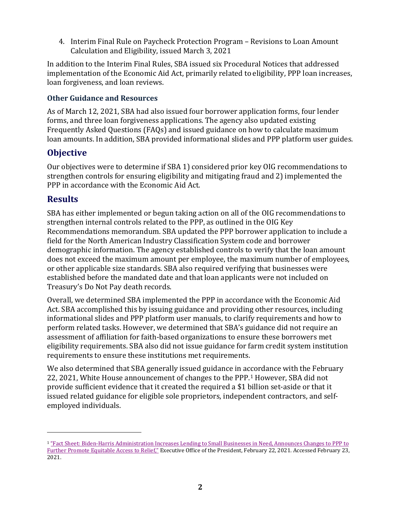4. Interim Final Rule on Paycheck Protection Program – Revisions to Loan Amount Calculation and Eligibility, issued March 3, 2021

In addition to the Interim Final Rules, SBA issued six Procedural Notices that addressed implementation of the Economic Aid Act, primarily related to eligibility, PPP loan increases, loan forgiveness, and loan reviews.

#### **Other Guidance and Resources**

As of March 12, 2021, SBA had also issued four borrower application forms, four lender forms, and three loan forgiveness applications. The agency also updated existing Frequently Asked Questions (FAQs) and issued guidance on how to calculate maximum loan amounts. In addition, SBA provided informational slides and PPP platform user guides.

#### **Objective**

Our objectives were to determine if SBA 1) considered prior key OIG recommendations to strengthen controls for ensuring eligibility and mitigating fraud and 2) implemented the PPP in accordance with the Economic Aid Act.

#### **Results**

SBA has either implemented or begun taking action on all of the OIG recommendations to strengthen internal controls related to the PPP, as outlined in the OIG Key Recommendations memorandum. SBA updated the PPP borrower application to include a field for the North American Industry Classification System code and borrower demographic information. The agency established controls to verify that the loan amount does not exceed the maximum amount per employee, the maximum number of employees, or other applicable size standards. SBA also required verifying that businesses were established before the mandated date and that loan applicants were not included on Treasury's Do Not Pay death records.

Overall, we determined SBA implemented the PPP in accordance with the Economic Aid Act. SBA accomplished this by issuing guidance and providing other resources, including informational slides and PPP platform user manuals, to clarify requirements and how to perform related tasks. However, we determined that SBA's guidance did not require an assessment of affiliation for faith-based organizations to ensure these borrowers met eligibility requirements. SBA also did not issue guidance for farm credit system institution requirements to ensure these institutions met requirements.

We also determined that SBA generally issued guidance in accordance with the February 22, 2021, White House announcement of changes to the PPP. [1](#page-5-0) However, SBA did not provide sufficient evidence that it created the required a \$1 billion set-aside or that it issued related guidance for eligible sole proprietors, independent contractors, and selfemployed individuals.

<span id="page-5-0"></span><sup>1</sup> "Fact [Sheet: Biden-Harris Administration Increases Lending to Small Businesses in Need, Announces Changes to PPP to](https://www.whitehouse.gov/briefing-room/statements-releases/2021/02/22/fact-sheet-biden-harris-administration-increases-lending-to-small-businesses-in-need-announces-changes-to-ppp-to-further-promote-equitable-access-to-relief/)  [Further Promote Equitable Access to Relief,"](https://www.whitehouse.gov/briefing-room/statements-releases/2021/02/22/fact-sheet-biden-harris-administration-increases-lending-to-small-businesses-in-need-announces-changes-to-ppp-to-further-promote-equitable-access-to-relief/) Executive Office of the President, February 22, 2021. Accessed February 23, 2021.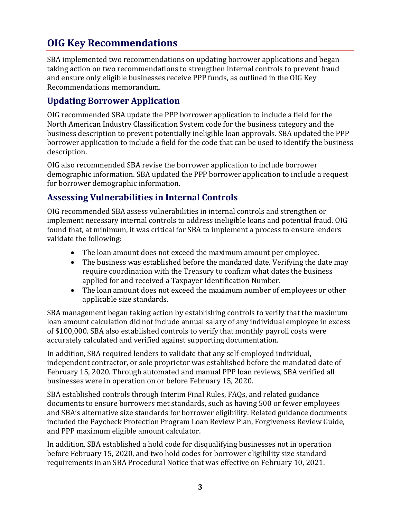# **OIG Key Recommendations**

SBA implemented two recommendations on updating borrower applications and began taking action on two recommendations to strengthen internal controls to prevent fraud and ensure only eligible businesses receive PPP funds, as outlined in the OIG Key Recommendations memorandum.

### **Updating Borrower Application**

OIG recommended SBA update the PPP borrower application to include a field for the North American Industry Classification System code for the business category and the business description to prevent potentially ineligible loan approvals. SBA updated the PPP borrower application to include a field for the code that can be used to identify the business description.

OIG also recommended SBA revise the borrower application to include borrower demographic information. SBA updated the PPP borrower application to include a request for borrower demographic information.

## **Assessing Vulnerabilities in Internal Controls**

OIG recommended SBA assess vulnerabilities in internal controls and strengthen or implement necessary internal controls to address ineligible loans and potential fraud. OIG found that, at minimum, it was critical for SBA to implement a process to ensure lenders validate the following:

- The loan amount does not exceed the maximum amount per employee.
- The business was established before the mandated date. Verifying the date may require coordination with the Treasury to confirm what dates the business applied for and received a Taxpayer Identification Number.
- The loan amount does not exceed the maximum number of employees or other applicable size standards.

SBA management began taking action by establishing controls to verify that the maximum loan amount calculation did not include annual salary of any individual employee in excess of \$100,000. SBA also established controls to verify that monthly payroll costs were accurately calculated and verified against supporting documentation.

In addition, SBA required lenders to validate that any self-employed individual, independent contractor, or sole proprietor was established before the mandated date of February 15, 2020. Through automated and manual PPP loan reviews, SBA verified all businesses were in operation on or before February 15, 2020.

SBA established controls through Interim Final Rules, FAQs, and related guidance documents to ensure borrowers met standards, such as having 500 or fewer employees and SBA's alternative size standards for borrower eligibility. Related guidance documents included the Paycheck Protection Program Loan Review Plan, Forgiveness Review Guide, and PPP maximum eligible amount calculator.

In addition, SBA established a hold code for disqualifying businesses not in operation before February 15, 2020, and two hold codes for borrower eligibility size standard requirements in an SBA Procedural Notice that was effective on February 10, 2021.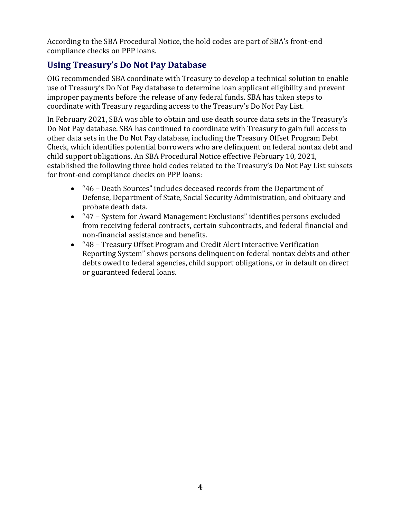According to the SBA Procedural Notice, the hold codes are part of SBA's front-end compliance checks on PPP loans.

## **Using Treasury's Do Not Pay Database**

OIG recommended SBA coordinate with Treasury to develop a technical solution to enable use of Treasury's Do Not Pay database to determine loan applicant eligibility and prevent improper payments before the release of any federal funds. SBA has taken steps to coordinate with Treasury regarding access to the Treasury's Do Not Pay List.

In February 2021, SBA was able to obtain and use death source data sets in the Treasury's Do Not Pay database. SBA has continued to coordinate with Treasury to gain full access to other data sets in the Do Not Pay database, including the Treasury Offset Program Debt Check, which identifies potential borrowers who are delinquent on federal nontax debt and child support obligations. An SBA Procedural Notice effective February 10, 2021, established the following three hold codes related to the Treasury's Do Not Pay List subsets for front-end compliance checks on PPP loans:

- "46 Death Sources" includes deceased records from the Department of Defense, Department of State, Social Security Administration, and obituary and probate death data.
- "47 System for Award Management Exclusions" identifies persons excluded from receiving federal contracts, certain subcontracts, and federal financial and non-financial assistance and benefits.
- "48 Treasury Offset Program and Credit Alert Interactive Verification Reporting System" shows persons delinquent on federal nontax debts and other debts owed to federal agencies, child support obligations, or in default on direct or guaranteed federal loans.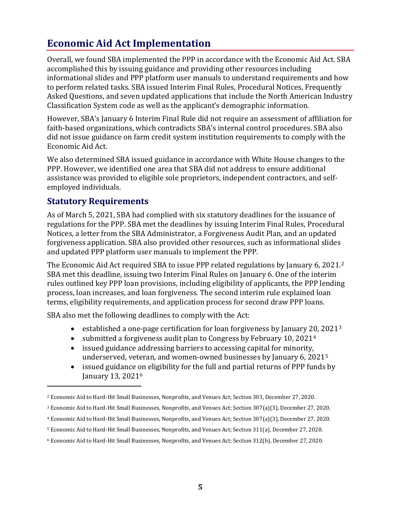# **Economic Aid Act Implementation**

Overall, we found SBA implemented the PPP in accordance with the Economic Aid Act. SBA accomplished this by issuing guidance and providing other resources including informational slides and PPP platform user manuals to understand requirements and how to perform related tasks. SBA issued Interim Final Rules, Procedural Notices, Frequently Asked Questions, and seven updated applications that include the North American Industry Classification System code as well as the applicant's demographic information.

However, SBA's January 6 Interim Final Rule did not require an assessment of affiliation for faith-based organizations, which contradicts SBA's internal control procedures. SBA also did not issue guidance on farm credit system institution requirements to comply with the Economic Aid Act.

We also determined SBA issued guidance in accordance with White House changes to the PPP. However, we identified one area that SBA did not address to ensure additional assistance was provided to eligible sole proprietors, independent contractors, and selfemployed individuals.

#### **Statutory Requirements**

As of March 5, 2021, SBA had complied with six statutory deadlines for the issuance of regulations for the PPP. SBA met the deadlines by issuing Interim Final Rules, Procedural Notices, a letter from the SBA Administrator, a Forgiveness Audit Plan, and an updated forgiveness application. SBA also provided other resources, such as informational slides and updated PPP platform user manuals to implement the PPP.

The Economic Aid Act required SBA to issue PPP related regulations by January 6, 2021.[2](#page-8-0) SBA met this deadline, issuing two Interim Final Rules on January 6. One of the interim rules outlined key PPP loan provisions, including eligibility of applicants, the PPP lending process, loan increases, and loan forgiveness. The second interim rule explained loan terms, eligibility requirements, and application process for second draw PPP loans.

SBA also met the following deadlines to comply with the Act:

- established a one-page certification for loan forgiveness by January 20, 2021<sup>[3](#page-8-1)</sup>
- submitted a forgiveness audit plan to Congress by February 10, 2021<sup>[4](#page-8-2)</sup>
- issued guidance addressing barriers to accessing capital for minority, underserved, veteran, and women-owned businesses by January 6, 2021[5](#page-8-3)
- issued guidance on eligibility for the full and partial returns of PPP funds by January 13, 2021[6](#page-8-4)

<span id="page-8-0"></span><sup>2</sup> Economic Aid to Hard-Hit Small Businesses, Nonprofits, and Venues Act; Section 303, December 27, 2020.

<span id="page-8-1"></span><sup>3</sup> Economic Aid to Hard-Hit Small Businesses, Nonprofits, and Venues Act; Section 307(a)(3), December 27, 2020.

<span id="page-8-2"></span><sup>4</sup> Economic Aid to Hard-Hit Small Businesses, Nonprofits, and Venues Act; Section 307(a)(3), December 27, 2020.

<span id="page-8-3"></span><sup>5</sup> Economic Aid to Hard-Hit Small Businesses, Nonprofits, and Venues Act; Section 311(a), December 27, 2020.

<span id="page-8-4"></span><sup>6</sup> Economic Aid to Hard-Hit Small Businesses, Nonprofits, and Venues Act; Section 312(b), December 27, 2020.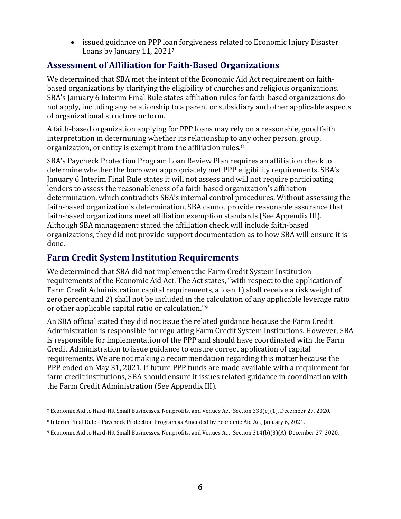• issued guidance on PPP loan forgiveness related to Economic Injury Disaster Loans by January 11, 2021[7](#page-9-0)

## **Assessment of Affiliation for Faith-Based Organizations**

We determined that SBA met the intent of the Economic Aid Act requirement on faithbased organizations by clarifying the eligibility of churches and religious organizations. SBA's January 6 Interim Final Rule states affiliation rules for faith-based organizations do not apply, including any relationship to a parent or subsidiary and other applicable aspects of organizational structure or form.

A faith-based organization applying for PPP loans may rely on a reasonable, good faith interpretation in determining whether its relationship to any other person, group, organization, or entity is exempt from the affiliation rules.[8](#page-9-1)

SBA's Paycheck Protection Program Loan Review Plan requires an affiliation check to determine whether the borrower appropriately met PPP eligibility requirements. SBA's January 6 Interim Final Rule states it will not assess and will not require participating lenders to assess the reasonableness of a faith-based organization's affiliation determination, which contradicts SBA's internal control procedures. Without assessing the faith-based organization's determination, SBA cannot provide reasonable assurance that faith-based organizations meet affiliation exemption standards (See Appendix III). Although SBA management stated the affiliation check will include faith-based organizations, they did not provide support documentation as to how SBA will ensure it is done.

### **Farm Credit System Institution Requirements**

We determined that SBA did not implement the Farm Credit System Institution requirements of the Economic Aid Act. The Act states, "with respect to the application of Farm Credit Administration capital requirements, a loan 1) shall receive a risk weight of zero percent and 2) shall not be included in the calculation of any applicable leverage ratio or other applicable capital ratio or calculation."[9](#page-9-2)

An SBA official stated they did not issue the related guidance because the Farm Credit Administration is responsible for regulating Farm Credit System Institutions. However, SBA is responsible for implementation of the PPP and should have coordinated with the Farm Credit Administration to issue guidance to ensure correct application of capital requirements. We are not making a recommendation regarding this matter because the PPP ended on May 31, 2021. If future PPP funds are made available with a requirement for farm credit institutions, SBA should ensure it issues related guidance in coordination with the Farm Credit Administration (See Appendix III).

<span id="page-9-0"></span><sup>7</sup> Economic Aid to Hard-Hit Small Businesses, Nonprofits, and Venues Act; Section 333(e)(1), December 27, 2020.

<span id="page-9-1"></span><sup>8</sup> Interim Final Rule – Paycheck Protection Program as Amended by Economic Aid Act, January 6, 2021.

<span id="page-9-2"></span><sup>9</sup> Economic Aid to Hard-Hit Small Businesses, Nonprofits, and Venues Act; Section 314(b)(3)(A), December 27, 2020.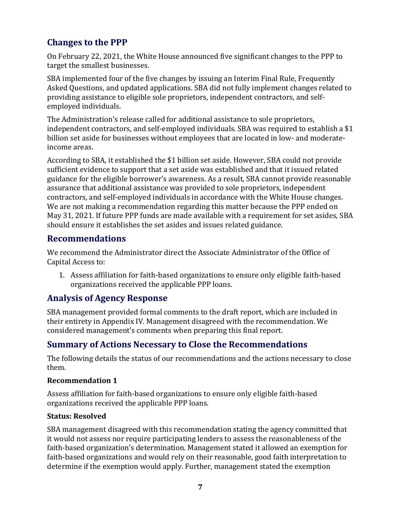## **Changes to the PPP**

On February 22, 2021, the White House announced five significant changes to the PPP to target the smallest businesses.

SBA implemented four of the five changes by issuing an Interim Final Rule, Frequently Asked Questions, and updated applications. SBA did not fully implement changes related to providing assistance to eligible sole proprietors, independent contractors, and selfemployed individuals.

The Administration's release called for additional assistance to sole proprietors, independent contractors, and self-employed individuals. SBA was required to establish a \$1 billion set aside for businesses without employees that are located in low- and moderateincome areas.

According to SBA, it established the \$1 billion set aside. However, SBA could not provide sufficient evidence to support that a set aside was established and that it issued related guidance for the eligible borrower's awareness. As a result, SBA cannot provide reasonable assurance that additional assistance was provided to sole proprietors, independent contractors, and self-employed individuals in accordance with the White House changes. We are not making a recommendation regarding this matter because the PPP ended on May 31, 2021. If future PPP funds are made available with a requirement for set asides, SBA should ensure it establishes the set asides and issues related guidance.

#### **Recommendations**

We recommend the Administrator direct the Associate Administrator of the Office of Capital Access to:

1. Assess affiliation for faith-based organizations to ensure only eligible faith-based organizations received the applicable PPP loans.

## **Analysis of Agency Response**

SBA management provided formal comments to the draft report, which are included in their entirety in Appendix IV. Management disagreed with the recommendation. We considered management's comments when preparing this final report.

## **Summary of Actions Necessary to Close the Recommendations**

The following details the status of our recommendations and the actions necessary to close them.

#### **Recommendation 1**

Assess affiliation for faith-based organizations to ensure only eligible faith-based organizations received the applicable PPP loans.

#### **Status: Resolved**

SBA management disagreed with this recommendation stating the agency committed that it would not assess nor require participating lenders to assess the reasonableness of the faith-based organization's determination. Management stated it allowed an exemption for faith-based organizations and would rely on their reasonable, good faith interpretation to determine if the exemption would apply. Further, management stated the exemption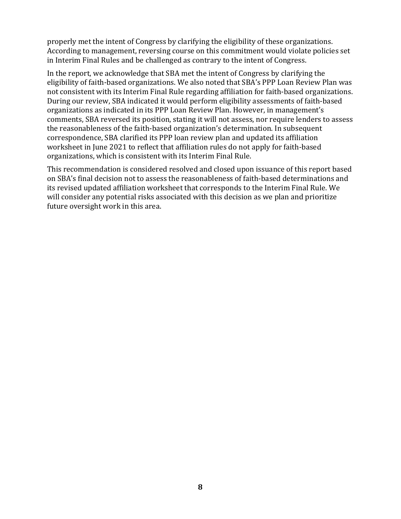properly met the intent of Congress by clarifying the eligibility of these organizations. According to management, reversing course on this commitment would violate policies set in Interim Final Rules and be challenged as contrary to the intent of Congress.

In the report, we acknowledge that SBA met the intent of Congress by clarifying the eligibility of faith-based organizations. We also noted that SBA's PPP Loan Review Plan was not consistent with its Interim Final Rule regarding affiliation for faith-based organizations. During our review, SBA indicated it would perform eligibility assessments of faith-based organizations as indicated in its PPP Loan Review Plan. However, in management's comments, SBA reversed its position, stating it will not assess, nor require lenders to assess the reasonableness of the faith-based organization's determination. In subsequent correspondence, SBA clarified its PPP loan review plan and updated its affiliation worksheet in June 2021 to reflect that affiliation rules do not apply for faith-based organizations, which is consistent with its Interim Final Rule.

This recommendation is considered resolved and closed upon issuance of this report based on SBA's final decision not to assess the reasonableness of faith-based determinations and its revised updated affiliation worksheet that corresponds to the Interim Final Rule. We will consider any potential risks associated with this decision as we plan and prioritize future oversight work in this area.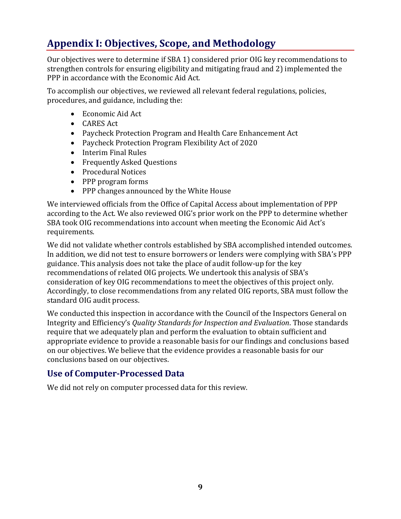# **Appendix I: Objectives, Scope, and Methodology**

Our objectives were to determine if SBA 1) considered prior OIG key recommendations to strengthen controls for ensuring eligibility and mitigating fraud and 2) implemented the PPP in accordance with the Economic Aid Act.

To accomplish our objectives, we reviewed all relevant federal regulations, policies, procedures, and guidance, including the:

- Economic Aid Act
- CARES Act
- Paycheck Protection Program and Health Care Enhancement Act
- Paycheck Protection Program Flexibility Act of 2020
- Interim Final Rules
- Frequently Asked Questions
- Procedural Notices
- PPP program forms
- PPP changes announced by the White House

We interviewed officials from the Office of Capital Access about implementation of PPP according to the Act. We also reviewed OIG's prior work on the PPP to determine whether SBA took OIG recommendations into account when meeting the Economic Aid Act's requirements.

We did not validate whether controls established by SBA accomplished intended outcomes. In addition, we did not test to ensure borrowers or lenders were complying with SBA's PPP guidance. This analysis does not take the place of audit follow-up for the key recommendations of related OIG projects. We undertook this analysis of SBA's consideration of key OIG recommendations to meet the objectives of this project only. Accordingly, to close recommendations from any related OIG reports, SBA must follow the standard OIG audit process.

We conducted this inspection in accordance with the Council of the Inspectors General on Integrity and Efficiency's *Quality Standards for Inspection and Evaluation*. Those standards require that we adequately plan and perform the evaluation to obtain sufficient and appropriate evidence to provide a reasonable basis for our findings and conclusions based on our objectives. We believe that the evidence provides a reasonable basis for our conclusions based on our objectives.

#### **Use of Computer-Processed Data**

We did not rely on computer processed data for this review.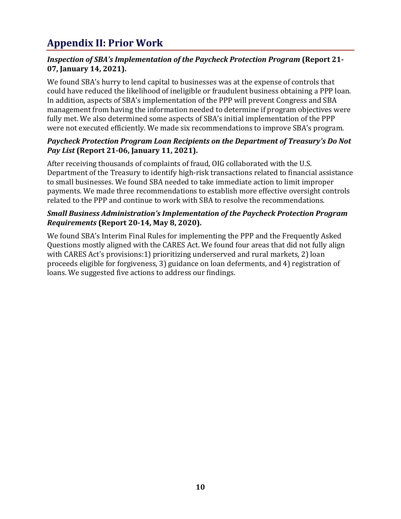# **Appendix II: Prior Work**

#### *Inspection of SBA's Implementation of the Paycheck Protection Program* **(Report 21- 07, January 14, 2021).**

We found SBA's hurry to lend capital to businesses was at the expense of controls that could have reduced the likelihood of ineligible or fraudulent business obtaining a PPP loan. In addition, aspects of SBA's implementation of the PPP will prevent Congress and SBA management from having the information needed to determine if program objectives were fully met. We also determined some aspects of SBA's initial implementation of the PPP were not executed efficiently. We made six recommendations to improve SBA's program.

#### *Paycheck Protection Program Loan Recipients on the Department of Treasury's Do Not Pay List* **(Report 21-06, January 11, 2021).**

After receiving thousands of complaints of fraud, OIG collaborated with the U.S. Department of the Treasury to identify high-risk transactions related to financial assistance to small businesses. We found SBA needed to take immediate action to limit improper payments. We made three recommendations to establish more effective oversight controls related to the PPP and continue to work with SBA to resolve the recommendations.

#### *Small Business Administration's Implementation of the Paycheck Protection Program Requirements* **(Report 20-14, May 8, 2020).**

We found SBA's Interim Final Rules for implementing the PPP and the Frequently Asked Questions mostly aligned with the CARES Act. We found four areas that did not fully align with CARES Act's provisions:1) prioritizing underserved and rural markets, 2) loan proceeds eligible for forgiveness, 3) guidance on loan deferments, and 4) registration of loans. We suggested five actions to address our findings.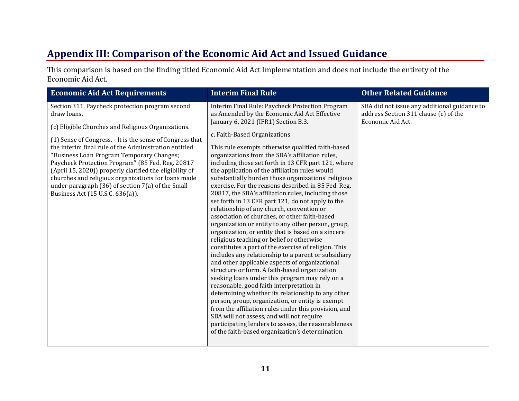## **Appendix III: Comparison of the Economic Aid Act and Issued Guidance**

This comparison is based on the finding titled Economic Aid Act Implementation and does not include the entirety of the Economic Aid Act.

| Section 311. Paycheck protection program second<br>Interim Final Rule: Paycheck Protection Program<br>SBA did not issue any additional guidance to<br>as Amended by the Economic Aid Act Effective<br>address Section 311 clause (c) of the<br>draw loans.<br>January 6, 2021 (IFR1) Section B.3.<br>Economic Aid Act.<br>(c) Eligible Churches and Religious Organizations.<br>c. Faith-Based Organizations<br>(1) Sense of Congress. - It is the sense of Congress that<br>the interim final rule of the Administration entitled<br>This rule exempts otherwise qualified faith-based<br>"Business Loan Program Temporary Changes;<br>organizations from the SBA's affiliation rules,<br>Paycheck Protection Program" (85 Fed. Reg. 20817<br>including those set forth in 13 CFR part 121, where<br>(April 15, 2020)) properly clarified the eligibility of<br>the application of the affiliation rules would<br>churches and religious organizations for loans made<br>substantially burden those organizations' religious<br>under paragraph (36) of section 7(a) of the Small<br>exercise. For the reasons described in 85 Fed. Reg.<br>Business Act (15 U.S.C. 636(a)).<br>20817, the SBA's affiliation rules, including those<br>set forth in 13 CFR part 121, do not apply to the<br>relationship of any church, convention or<br>association of churches, or other faith-based<br>organization or entity to any other person, group,<br>organization, or entity that is based on a sincere<br>religious teaching or belief or otherwise<br>constitutes a part of the exercise of religion. This<br>includes any relationship to a parent or subsidiary<br>and other applicable aspects of organizational<br>structure or form. A faith-based organization<br>seeking loans under this program may rely on a<br>reasonable, good faith interpretation in<br>determining whether its relationship to any other<br>person, group, organization, or entity is exempt<br>from the affiliation rules under this provision, and<br>SBA will not assess, and will not require<br>participating lenders to assess, the reasonableness<br>of the faith-based organization's determination. |  |
|-------------------------------------------------------------------------------------------------------------------------------------------------------------------------------------------------------------------------------------------------------------------------------------------------------------------------------------------------------------------------------------------------------------------------------------------------------------------------------------------------------------------------------------------------------------------------------------------------------------------------------------------------------------------------------------------------------------------------------------------------------------------------------------------------------------------------------------------------------------------------------------------------------------------------------------------------------------------------------------------------------------------------------------------------------------------------------------------------------------------------------------------------------------------------------------------------------------------------------------------------------------------------------------------------------------------------------------------------------------------------------------------------------------------------------------------------------------------------------------------------------------------------------------------------------------------------------------------------------------------------------------------------------------------------------------------------------------------------------------------------------------------------------------------------------------------------------------------------------------------------------------------------------------------------------------------------------------------------------------------------------------------------------------------------------------------------------------------------------------------------------------------------------------------------------------------|--|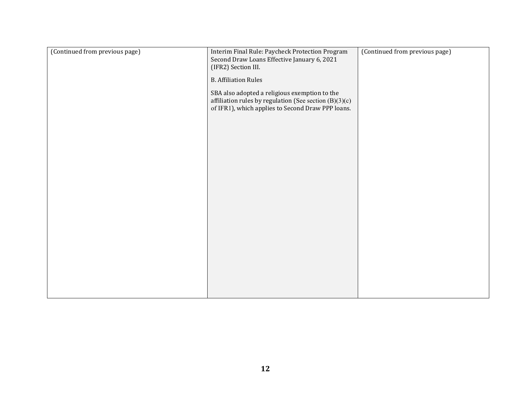| (Continued from previous page) | Interim Final Rule: Paycheck Protection Program<br>Second Draw Loans Effective January 6, 2021<br>(IFR2) Section III.<br><b>B.</b> Affiliation Rules<br>SBA also adopted a religious exemption to the<br>affiliation rules by regulation (See section $(B)(3)(c)$<br>of IFR1), which applies to Second Draw PPP loans. | (Continued from previous page) |
|--------------------------------|------------------------------------------------------------------------------------------------------------------------------------------------------------------------------------------------------------------------------------------------------------------------------------------------------------------------|--------------------------------|
|                                |                                                                                                                                                                                                                                                                                                                        |                                |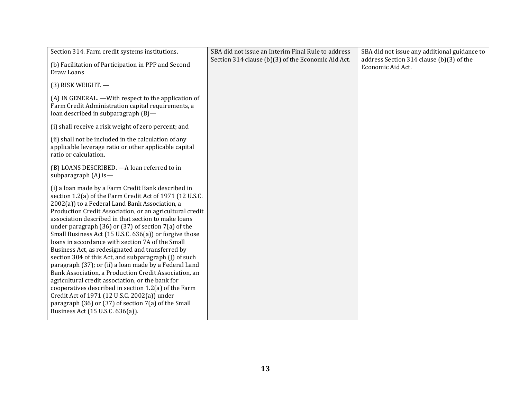| Section 314. Farm credit systems institutions.                                                                                                                                                                                                                                                                                                                                                                                                                                                                                                                                                                                                                                                                                                                                                                                                                                                                                                       | SBA did not issue an Interim Final Rule to address | SBA did not issue any additional guidance to                  |
|------------------------------------------------------------------------------------------------------------------------------------------------------------------------------------------------------------------------------------------------------------------------------------------------------------------------------------------------------------------------------------------------------------------------------------------------------------------------------------------------------------------------------------------------------------------------------------------------------------------------------------------------------------------------------------------------------------------------------------------------------------------------------------------------------------------------------------------------------------------------------------------------------------------------------------------------------|----------------------------------------------------|---------------------------------------------------------------|
| (b) Facilitation of Participation in PPP and Second<br>Draw Loans                                                                                                                                                                                                                                                                                                                                                                                                                                                                                                                                                                                                                                                                                                                                                                                                                                                                                    | Section 314 clause (b)(3) of the Economic Aid Act. | address Section 314 clause (b)(3) of the<br>Economic Aid Act. |
| (3) RISK WEIGHT. -                                                                                                                                                                                                                                                                                                                                                                                                                                                                                                                                                                                                                                                                                                                                                                                                                                                                                                                                   |                                                    |                                                               |
| (A) IN GENERAL. —With respect to the application of<br>Farm Credit Administration capital requirements, a<br>loan described in subparagraph (B)-                                                                                                                                                                                                                                                                                                                                                                                                                                                                                                                                                                                                                                                                                                                                                                                                     |                                                    |                                                               |
| (i) shall receive a risk weight of zero percent; and                                                                                                                                                                                                                                                                                                                                                                                                                                                                                                                                                                                                                                                                                                                                                                                                                                                                                                 |                                                    |                                                               |
| (ii) shall not be included in the calculation of any<br>applicable leverage ratio or other applicable capital<br>ratio or calculation.                                                                                                                                                                                                                                                                                                                                                                                                                                                                                                                                                                                                                                                                                                                                                                                                               |                                                    |                                                               |
| (B) LOANS DESCRIBED. - A loan referred to in<br>subparagraph $(A)$ is —                                                                                                                                                                                                                                                                                                                                                                                                                                                                                                                                                                                                                                                                                                                                                                                                                                                                              |                                                    |                                                               |
| (i) a loan made by a Farm Credit Bank described in<br>section 1.2(a) of the Farm Credit Act of 1971 (12 U.S.C.<br>2002(a)) to a Federal Land Bank Association, a<br>Production Credit Association, or an agricultural credit<br>association described in that section to make loans<br>under paragraph $(36)$ or $(37)$ of section $7(a)$ of the<br>Small Business Act (15 U.S.C. 636(a)) or forgive those<br>loans in accordance with section 7A of the Small<br>Business Act, as redesignated and transferred by<br>section 304 of this Act, and subparagraph (J) of such<br>paragraph (37); or (ii) a loan made by a Federal Land<br>Bank Association, a Production Credit Association, an<br>agricultural credit association, or the bank for<br>cooperatives described in section 1.2(a) of the Farm<br>Credit Act of 1971 (12 U.S.C. 2002(a)) under<br>paragraph (36) or (37) of section 7(a) of the Small<br>Business Act (15 U.S.C. 636(a)). |                                                    |                                                               |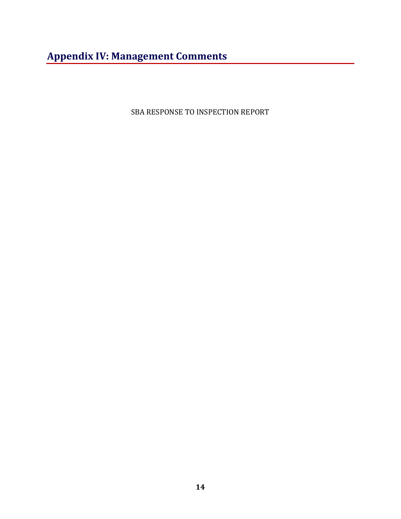# **Appendix IV: Management Comments**

SBA RESPONSE TO INSPECTION REPORT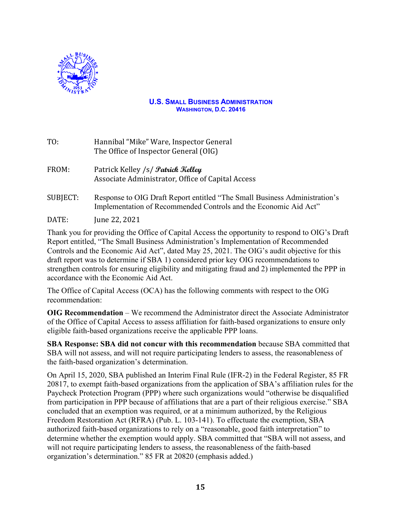

#### **U.S. SMALL BUSINESS ADMINISTRATION WASHINGTON, D.C. 20416**

- TO: Hannibal "Mike" Ware, Inspector General The Office of Inspector General (OIG)
- FROM: Patrick Kelley /s/ **Patrick Kelley** Associate Administrator, Office of Capital Access
- SUBJECT: Response to OIG Draft Report entitled "The Small Business Administration's Implementation of Recommended Controls and the Economic Aid Act"

DATE: June 22, 2021

Thank you for providing the Office of Capital Access the opportunity to respond to OIG's Draft Report entitled, "The Small Business Administration's Implementation of Recommended Controls and the Economic Aid Act", dated May 25, 2021. The OIG's audit objective for this draft report was to determine if SBA 1) considered prior key OIG recommendations to strengthen controls for ensuring eligibility and mitigating fraud and 2) implemented the PPP in accordance with the Economic Aid Act.

The Office of Capital Access (OCA) has the following comments with respect to the OIG recommendation:

**OIG Recommendation** – We recommend the Administrator direct the Associate Administrator of the Office of Capital Access to assess affiliation for faith-based organizations to ensure only eligible faith-based organizations receive the applicable PPP loans.

**SBA Response: SBA did not concur with this recommendation** because SBA committed that SBA will not assess, and will not require participating lenders to assess, the reasonableness of the faith-based organization's determination.

On April 15, 2020, SBA published an Interim Final Rule (IFR-2) in the [Federal Register,](https://www.federalregister.gov/documents/2020/04/15/2020-07673/business-loan-program-temporary-changes-paycheck-protection-program) 85 FR 20817, to exempt faith-based organizations from the application of SBA's affiliation rules for the Paycheck Protection Program (PPP) where such organizations would "otherwise be disqualified from participation in PPP because of affiliations that are a part of their religious exercise." SBA concluded that an exemption was required, or at a minimum authorized, by the Religious Freedom Restoration Act (RFRA) (Pub. L. 103-141). To effectuate the exemption, SBA authorized faith-based organizations to rely on a "reasonable, good faith interpretation" to determine whether the exemption would apply. SBA committed that "SBA will not assess, and will not require participating lenders to assess, the reasonableness of the faith-based organization's determination." 85 FR at 20820 (emphasis added.)